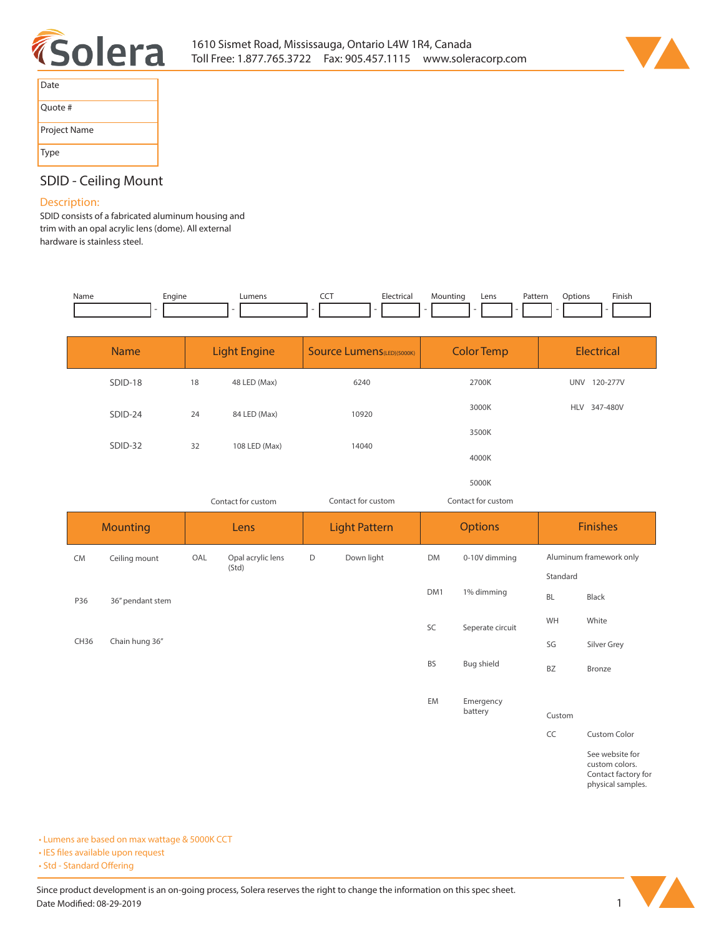



| Date         |  |
|--------------|--|
| Ouote #      |  |
| Project Name |  |
| Type         |  |

# **SDID - Ceiling Mount**

## **Description:**

**SDID consists of a fabricated aluminum housing and trim with an opal acrylic lens (dome). All external hardware is stainless steel.** 

| Name             | Engine           |     | Lumens                     | <b>CCT</b>  | Electrical                        | Mounting  | Pattern<br>Lens    | Options       | Finish                                                                        |
|------------------|------------------|-----|----------------------------|-------------|-----------------------------------|-----------|--------------------|---------------|-------------------------------------------------------------------------------|
|                  | <b>Name</b>      |     | <b>Light Engine</b>        |             | <b>Source Lumens</b> (LED)(5000K) |           | <b>Color Temp</b>  |               | <b>Electrical</b>                                                             |
|                  | SDID-18          | 18  | 48 LED (Max)               |             | 6240                              |           | 2700K              |               | UNV 120-277V                                                                  |
|                  | SDID-24          | 24  | 84 LED (Max)               |             | 10920                             |           | 3000K              |               | HLV 347-480V                                                                  |
|                  | SDID-32          | 32  | 108 LED (Max)              |             | 14040                             |           | 3500K              |               |                                                                               |
|                  |                  |     |                            |             |                                   |           | 4000K              |               |                                                                               |
|                  |                  |     |                            |             |                                   |           | 5000K              |               |                                                                               |
|                  |                  |     | Contact for custom         |             | Contact for custom                |           | Contact for custom |               |                                                                               |
|                  | <b>Mounting</b>  |     | Lens                       |             | <b>Light Pattern</b>              |           | <b>Options</b>     |               | <b>Finishes</b>                                                               |
| <b>CM</b>        | Ceiling mount    | OAL | Opal acrylic lens<br>(Std) | $\mathsf D$ | Down light                        | DM        | 0-10V dimming      |               | Aluminum framework only                                                       |
|                  |                  |     |                            |             |                                   |           |                    | Standard      |                                                                               |
| P36              | 36" pendant stem |     |                            |             |                                   | DM1       | 1% dimming         | BL            | <b>Black</b>                                                                  |
|                  |                  |     |                            |             |                                   | SC        | Seperate circuit   | WH            | White                                                                         |
| CH <sub>36</sub> | Chain hung 36"   |     |                            |             |                                   |           |                    | SG            | Silver Grey                                                                   |
|                  |                  |     |                            |             |                                   | <b>BS</b> | <b>Bug shield</b>  | BZ            | Bronze                                                                        |
|                  |                  |     |                            |             |                                   | EM        | Emergency          |               |                                                                               |
|                  |                  |     |                            |             |                                   |           | battery            | Custom        |                                                                               |
|                  |                  |     |                            |             |                                   |           |                    | $\mathsf{CC}$ | <b>Custom Color</b>                                                           |
|                  |                  |     |                            |             |                                   |           |                    |               | See website for<br>custom colors.<br>Contact factory for<br>physical samples. |

**• Lumens are based on max wattage & 5000K CCT**

**• IES files available upon request** 

• Std - Standard Offering